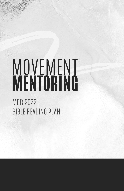## MOVEMENT

MBR 2022 BIBLE READING PLAN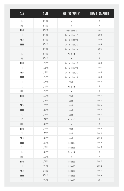| <b>DAY</b> | DATE    | OLD TESTAMENT     | <b>NEW TESTAMENT</b> |
|------------|---------|-------------------|----------------------|
| SAT        | 1/1/22  | X                 | X                    |
| SUN        | 1/2/22  | X                 | X                    |
| <b>MON</b> | 1/3/22  | Ecclesiastes 12   | Luke 1               |
| TUE        | 1/4/22  | Song of Solomon 1 | Luke 2               |
| WED        | 1/5/22  | Song of Solomon 2 | Luke 3               |
| THUR       | 1/6/22  | Song of Solomon 3 | Luke 4               |
| FRI        | 1/7/22  | Song of Solomon 4 | Luke 5               |
| SAT        | 1/8/22  | Psalm 105         | $\chi$               |
| SUN        | 1/9/22  | X                 | $\chi$               |
| <b>MON</b> | 1/10/22 | Song of Solomon 5 | Luke 6               |
| TUE        | 1/11/22 | Song of Solomon 6 | Luke 7               |
| WED        | 1/12/22 | Song of Solomon 7 | Luke 8               |
| THUR       | 1/13/22 | Song of Solomon 8 | Luke 9               |
| FRI        | 1/14/22 | Isaiah 1          | Luke 10              |
| SAT        | 1/15/22 | Psalm 106         | $\chi$               |
| SUN        | 1/16/22 | X                 | $\chi$               |
| <b>MON</b> | 1/17/22 | Isaiah 2          | Luke 11              |
| TUE        | 1/18/22 | Isaiah 3          | Luke 12              |
| WED        | 1/19/22 | Isaiah 4          | Luke 13              |
| THUR       | 1/20/22 | Isaiah 5          | Luke 14              |
| FRI        | 1/21/22 | Isaiah 6          | Luke 15              |
| SAT        | 1/22/22 | Psalm 107         | $\chi$               |
| SUN        | 1/23/22 | X                 | $\chi$               |
| <b>MON</b> | 1/24/22 | Isaiah 7          | Luke 16              |
| TUE        | 1/25/22 | Isaiah 8          | Luke 17              |
| WED        | 1/26/22 | Isaiah 9          | Luke 18              |
| THUR       | 1/27/22 | Isaiah 10         | Luke 19              |
| FRI        | 1/28/22 | Isaiah 11         | Luke 20              |
| SAT        | 1/29/22 | Psalm 108         | $\chi$               |
| SUN        | 1/30/22 | $\chi$            | $\chi$               |
| <b>MON</b> | 1/31/22 | Isaiah 12         | Luke 21              |
| TUE        | 2/1/22  | Isaiah 13         | Luke 22              |
| WED        | 2/2/22  | Isaiah 14         | Luke 23              |
| THUR       | 2/3/22  | Isaiah 15         | Luke 24              |
| FRI        | 2/4/22  | Isaiah 16         | Acts 1               |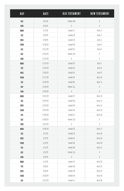| <b>DAY</b> | DATE    | OLD TESTAMENT | <b>NEW TESTAMENT</b> |
|------------|---------|---------------|----------------------|
| SAT        | 2/5/22  | Psalm 109     | $\chi$               |
| SUN        | 2/6/22  | $\chi$        | X                    |
| <b>MON</b> | 2/7/22  | Isaiah 17     | Acts 2               |
| TUE        | 2/8/22  | Isaiah 18     | Acts 3               |
| WED        | 2/9/22  | Isaiah 19     | Acts 4               |
| THUR       | 2/10/22 | Isaiah 20     | Acts 5               |
| FRI        | 2/11/22 | Isaiah 21     | Acts 6               |
| SAT        | 2/12/22 | Psalm 110     | X                    |
| SUN        | 2/13/22 | X             | $\chi$               |
| <b>MON</b> | 2/14/22 | Isaiah 22     | Acts 7               |
| TUE        | 2/15/22 | Isaiah 23     | Acts 8               |
| WED        | 2/16/22 | Isaiah 24     | Acts 9               |
| THUR       | 2/17/22 | Isaiah 25     | Acts 10              |
| FRI        | 2/18/22 | Isaiah 26     | Acts 11              |
| SAT        | 2/19/22 | Psalm 111     | $\chi$               |
| SUN        | 2/20/22 | X             | X                    |
| <b>MON</b> | 2/21/22 | Isaiah 27     | Acts 12              |
| TUE        | 2/22/22 | Isaiah 28     | Acts 13              |
| WED        | 2/23/22 | Isaiah 29     | Acts 14              |
| THUR       | 2/24/22 | Isaiah 30     | Acts 15              |
| FRI        | 2/25/22 | Isaiah 31     | Acts 16              |
| SAT        | 2/26/22 | Psalm 112     | X                    |
| SUN        | 2/27/22 | X             | X                    |
| <b>MON</b> | 2/28/22 | Isaiah 32     | Acts 17              |
| TUE        | 3/1/22  | Isaiah 33     | Acts 18              |
| WED        | 3/2/22  | Isaiah 34     | Acts 19              |
| THUR       | 3/3/22  | Isaiah 35     | Acts 20              |
| FRI        | 3/4/22  | Isaiah 36     | Acts 21              |
| SAT        | 3/5/22  | Psalm 113     | $\chi$               |
| SUN        | 3/6/22  | $\chi$        | $\chi$               |
| <b>MON</b> | 3/7/22  | Isaiah 37     | Acts 22              |
| TUE        | 3/8/22  | Isaiah 38     | Acts 23              |
| WED        | 3/9/22  | Isaiah 39     | Acts 24              |
| THUR       | 3/10/22 | Isaiah 40     | Acts 25              |
| FRI        | 3/11/22 | Isaiah 41     | Acts 26              |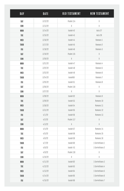| DAY        | DATE    | OLD TESTAMENT | <b>NEW TESTAMENT</b> |
|------------|---------|---------------|----------------------|
| SAT        | 3/12/22 | Psalm 114     | X                    |
| SUN        | 3/13/22 | $\chi$        | $\chi$               |
| <b>MON</b> | 3/14/22 | Isaiah 42     | Acts 27              |
| TUE        | 3/15/22 | Isaiah 43     | Acts 28              |
| WED        | 3/16/22 | Isaiah 44     | Romans 1             |
| THUR       | 3/17/22 | Isaiah 45     | Romans 2             |
| FRI        | 3/18/22 | Isaiah 46     | Romans 3             |
| SAT        | 3/19/22 | Psalm 115     | $\chi$               |
| SUN        | 3/20/22 | X             | X                    |
| <b>MON</b> | 3/21/22 | Isaiah 47     | Romans 4             |
| TUE        | 3/22/22 | Isaiah 48     | Romans 5             |
| WED        | 3/23/22 | Isaiah 49     | Romans 6             |
| THUR       | 3/24/22 | Isaiah50      | Romans 7             |
| FRI        | 3/25/22 | Isaiah 51     | Romans 8             |
| SAT        | 3/26/22 | Psalm 116     | $\chi$               |
| SUN        | 3/27/22 | $\chi$        | X                    |
| <b>MON</b> | 3/28/22 | Isaiah 52     | Romans 9             |
| TUE        | 3/29/22 | Isaiah 53     | Romans 10            |
| WED        | 3/30/22 | Isaiah 54     | Romans 11            |
| THUR       | 3/31/22 | Isaiah 55     | Romans 12            |
| FRI        | 4/1/22  | Isaiah 56     | Romans 13            |
| SAT        | 4/2/22  | Psalm 117     | $\chi$               |
| SUN        | 4/3/22  | $\chi$        | X                    |
| <b>MON</b> | 4/4/22  | Isaiah 57     | Romans 14            |
| TUE        | 4/5/22  | Isaiah 58     | Romans 15            |
| WED        | 4/6/22  | Isaiah 59     | Romans 16            |
| THUR       | 4/7/22  | Isaiah 60     | 1 Corinthians 1      |
| FRI        | 4/8/22  | Isaiah 61     | 1 Corinthians 2      |
| SAT        | 4/9/22  | Psalm 118     | $\chi$               |
| SUN        | 4/10/22 | $\chi$        | $\chi$               |
| <b>MON</b> | 4/11/22 | Isaiah 62     | 1 Corinthians 3      |
| TUE        | 4/12/22 | Isaiah 63     | 1 Corinthians 4      |
| WED        | 4/13/22 | Isaiah 64     | 1 Corinthians 5      |
| THUR       | 4/14/22 | Isaiah 65     | 1 Corinthians 6      |
| FRI        | 4/15/22 | Isaiah 66     | 1 Corinthians 7      |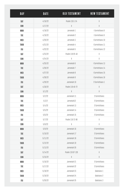| DAY        | DATE    | OLD TESTAMENT    | <b>NEW TESTAMENT</b> |
|------------|---------|------------------|----------------------|
| SAT        | 4/16/22 | Psalm 119:1-24   | X                    |
| SUN        | 4/17/22 | X                | $\chi$               |
| <b>MON</b> | 4/18/22 | Jeremiah 1       | I Corinthians 8      |
| TUE        | 4/19/22 | Jeremiah 2       | I Corinthians 9      |
| WED        | 4/20/22 | Jeremiah 3       | I Corinthians 10     |
| THUR       | 4/21/22 | Jeremiah 4       | I Corinthians 11     |
| FRI        | 4/22/22 | Jeremiah 5       | I Corinthians 12     |
| SAT        | 4/23/22 | Psalm 119:25-48  | X                    |
| SUN        | 4/24/22 | X                | X                    |
| <b>MON</b> | 4/25/22 | Jeremiah 6       | I Corinthians 13     |
| TUE        | 4/26/22 | Jeremiah 7       | I Corinthians 14     |
| WED        | 4/27/22 | Jeremiah 8       | I Corinthians 15     |
| THUR       | 4/28/22 | Jeremiah 9       | I Corinthians 16     |
| FRI        | 4/29/22 | Jeremiah 10      | 2 Corinthians 1      |
| SAT        | 4/30/22 | Psalm 119:49-72  | X                    |
| SUN        | 5/1/22  | X                | X                    |
| <b>MON</b> | 5/2/22  | Jeremiah 11      | 2 Corinthians        |
| TUE        | 5/3/2   | Jeremiah12       | 2 Corinthians        |
| WED        | 5/4/22  | Jeremiah 13      | 2 Corinthians        |
| THUR       | 5/5/22  | Jeremiah 14      | 2 Corinthians        |
| FRI        | 5/6/22  | Jeremiah 15      | 2 Corinthians        |
| SAT        | 5/7/22  | Psalm 119:73-96  | X                    |
| SUN        | 5/8/22  | X                | $\chi$               |
| <b>MON</b> | 5/9/22  | Jeremiah 16      | 2 Corinthians        |
| TUE        | 5/10/22 | Jeremiah 17      | 2 Corinthians        |
| WED        | 5/11/22 | Jeremiah 18      | 2 Corinthians        |
| THUR       | 5/12/22 | Jeremiah 19      | 2 Corinthians        |
| FRI        | 5/13/22 | Jeremiah 20      | 2 Corinthians        |
| SAT        | 5/14/22 | Psalm 119:97-120 | $\chi$               |
| SUN        | 5/15/22 | $\chi$           | $\chi$               |
| <b>MON</b> | 5/16/22 | Jeremiah 21      | 2 Corinthians        |
| TUE        | 5/17/22 | Jeremiah 22      | 2 Corinthians        |
| WED        | 5/18/22 | Jeremiah 23      | Galatians 1          |
| THUR       | 5/19/22 | Jeremiah 24      | Galatians 2          |
| FRI        | 5/20/22 | Jeremiah 25      | Galatians 3          |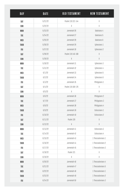| <b>DAY</b> | DATE    | OLD TESTAMENT     | <b>NEW TESTAMENT</b> |
|------------|---------|-------------------|----------------------|
| SAT        | 5/21/22 | Psalm 119:121-144 | X                    |
| SUN        | 5/22/22 | X                 | $\chi$               |
| <b>MON</b> | 5/23/22 | Jeremiah 26       | Galatians 4          |
| TUE        | 5/24/22 | Jeremiah 27       | Galatians 5          |
| WED        | 5/25/22 | Jeremiah 28       | Galatians 6          |
| THUR       | 5/26/22 | Jeremiah 29       | Ephesians 1          |
| FRI        | 5/27/22 | Jeremiah 30       | Ephesians 2          |
| SAT        | 5/28/22 | Psalm 119:145-168 | $\chi$               |
| SUN        | 5/29/22 | $\chi$            | X                    |
| <b>MON</b> | 5/30/22 | Jeremiah 31       | Ephesians 3          |
| TUE        | 5/31/22 | Jeremiah 32       | Ephesians 4          |
| WED        | 6/1/22  | Jeremiah 33       | Ephesians 5          |
| THUR       | 6/2/22  | Jeremiah 34       | Ephesians 6          |
| FRI        | 6/3/22  | Jeremiah 35       | Philippians 1        |
| SAT        | 6/4/22  | Psalm 119:169-176 | X                    |
| SUN        | 6/5/22  | X                 | $\chi$               |
| <b>MON</b> | 6/6/22  | Jeremiah 36       | Philippians 2        |
| TUE        | 6/7/22  | Jeremiah 37       | Philippians 3        |
| WED        | 6/8/22  | Jeremiah 38       | Philippians 4        |
| THUR       | 6/9/22  | Jeremiah 39       | Colossians 1         |
| FRI        | 6/10/22 | Jeremiah 40       | Colossians 2         |
| SAT        | 6/11/22 | Psalm 120         | $\chi$               |
| SUN        | 6/12/22 | $\chi$            | X                    |
| <b>MON</b> | 6/13/22 | Jeremiah 41       | Colossians 3         |
| TUE        | 6/14/22 | Jeremiah 42       | Colossians 4         |
| WED        | 6/15/22 | Jeremiah 43       | 1 Thessalonians 1    |
| THUR       | 6/16/22 | Jeremiah 44       | 1 Thessalonians 2    |
| FRI        | 6/17/22 | Jeremiah 45       | 1 Thessalonians 3    |
| SAT        | 6/18/22 | Psalm 121         | X                    |
| SUN        | 6/19/22 | $\chi$            | $\chi$               |
| <b>MON</b> | 6/20/22 | Jeremiah 46       | 1 Thessalonians 4    |
| TUE        | 6/21/22 | Jeremiah 47       | 1 Thessalonians 5    |
| WED        | 6/22/22 | Jeremiah 48       | 1 Thessalonians 1    |
| THUR       | 6/23/22 | Jeremiah 49       | 1 Thessalonians 2    |
| FRI        | 6/24/22 | Jeremiah 50       | 1 Thessalonians 3    |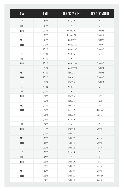| <b>DAY</b> | DATE    | OLD TESTAMENT  | <b>NEW TESTAMENT</b> |
|------------|---------|----------------|----------------------|
| SAT        | 6/25/22 | Psalm 122      | X                    |
| SUN        | 6/26/22 | $\chi$         | $\chi$               |
| <b>MON</b> | 6/27/22 | Jeremiah 51    | 1 Timothy 1          |
| TUE        | 6/28/22 | Jeremiah 52    | 1 Timothy 2          |
| WED        | 6/29/22 | Lamentations 1 | 1 Timothy 3          |
| THUR       | 6/30/22 | Lamentations 2 | 1 Timothy 4          |
| FRI        | 7/1/22  | Lamentations 3 | 1 Timothy 5          |
| SAT        | 7/2/22  | Psalm 123      | X                    |
| SUN        | 7/3/22  | X              | $\chi$               |
| <b>MON</b> | 7/4/22  | Lamentations 4 | 1 Timothy 6          |
| TUE        | 7/5/22  | Lamentations 5 | 2 Timothy 1          |
| WED        | 7/6/22  | Ezekiel 1      | 2 Timothy 1          |
| THUR       | 7/7/22  | Ezekiel 2      | 2 Timothy 3          |
| FRI        | 7/8/22  | Ezekiel 3      | 2 Timothy 4          |
| SAT        | 7/9/22  | Psalm 124      | $\chi$               |
| SUN        | 7/10/22 | X              | X                    |
| <b>MON</b> | 7/11/22 | Ezekiel 4      | Titus 1              |
| TUE        | 7/12/22 | Ezekiel 5      | Titus 2              |
| WED        | 7/13/22 | Ezekiel 6      | Titus 3              |
| THUR       | 7/14/22 | Ezekiel 7      | Philemon             |
| FRI        | 7/15/22 | Ezekiel 8      | John 1               |
| SAT        | 7/16/22 | Psalm 125      | $\chi$               |
| SUN        | 7/17/22 | X              | $\chi$               |
| <b>MON</b> | 7/18/22 | Ezekiel 9      | John 2               |
| TUE        | 7/19/22 | Ezekiel 10     | John 3               |
| WED        | 7/20/22 | Ezekiel 11     | John 4               |
| THUR       | 7/21/22 | Ezekiel 12     | John 5               |
| FRI        | 7/22/22 | Ezekiel 13     | John 6               |
| SAT        | 7/23/22 | Psalm 126      | X                    |
| SUN        | 7/24/22 | $\chi$         | $\chi$               |
| <b>MON</b> | 7/25/22 | Ezekiel 14     | John 7               |
| TUE        | 7/26/22 | Ezekiel 15     | John 8               |
| WED        | 7/27/22 | Ezekiel 16     | John 9               |
| THUR       | 7/28/22 | Ezekiel 17     | John 10              |
| FRI        | 7/29/22 | Ezekiel 18     | John <sub>11</sub>   |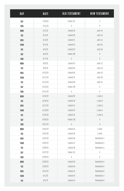| <b>DAY</b>  | DATE    | OLD TESTAMENT | <b>NEW TESTAMENT</b> |
|-------------|---------|---------------|----------------------|
| SAT         | 7/30/22 | Psalm 127     | X                    |
| SUN         | 7/31/22 | X             | $\chi$               |
| <b>MON</b>  | 8/1/22  | Ezekiel 19    | John 12              |
| TUE         | 8/2/22  | Ezekiel 20    | John 13              |
| WED         | 8/3/22  | Ezekiel 21    | John 14              |
| THUR        | 8/4/22  | Ezekiel 22    | John 15              |
| FRI         | 8/5/22  | Ezekiel 23    | John 16              |
| SAT         | 8/6/22  | Psalm 128     | $\uplambda$          |
| SUN         | 8/7/22  | $\chi$        | X                    |
| <b>MON</b>  | 8/8/22  | Ezekiel 24    | John 17              |
| TUE         | 8/9/22  | Ezekiel 25    | John 18              |
| WED         | 8/10/22 | Ezekiel 26    | John 19              |
| THUR        | 8/11/22 | Ezekiel 27    | John 20              |
| FRI         | 8/12/22 | Ezekiel 28    | John 21              |
| SAT         | 8/13/22 | Psalm 129     | $\chi$               |
| SUN         | 8/14/22 | χ             | $\chi$               |
| <b>MON</b>  | 8/15/22 | Ezekiel 29    | $1$ John $1$         |
| TUE         | 8/16/22 | Ezekiel 30    | 1 John 2             |
| WED         | 8/17/22 | Ezekiel 31    | 1 John 3             |
| THUR        | 8/18/22 | Ezekiel 32    | 1 John 4             |
| FRI         | 8/19/22 | Ezekiel 33    | 1 John 5             |
| SAT         | 8/20/22 | Psalm 130     | $\uplambda$          |
| SUN         | 8/21/22 | $\chi$        | X                    |
| <b>MON</b>  | 8/22/22 | Ezekiel 34    | 2 John               |
| TUE         | 8/23/22 | Ezekiel 35    | 3 John               |
| WED         | 8/24/22 | Ezekiel 36    | <b>Revelation 1</b>  |
| THUR        | 8/25/22 | Ezekiel 37    | Revelation 2         |
| FRI         | 8/26/22 | Ezekiel 38    | Revelation 3         |
| SAT         | 8/27/22 | Psalm 131     | X                    |
| SUN         | 8/28/22 | $\chi$        | $\chi$               |
| <b>MON</b>  | 8/29/22 | Ezekiel 39    | Revelation 4         |
| TUE         | 8/30/22 | Ezekiel 40    | Revelation 5         |
| WED         | 8/31/22 | Ezekiel 41    | Revelation 6         |
| THUR        | 9/1/22  | Ezekiel 42    | Revelation 7         |
| ${\sf FRI}$ | 9/2/22  | Ezekiel 43    | Revelation 8         |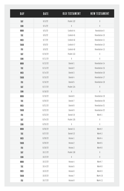| <b>DAY</b> | DATE    | OLD TESTAMENT | <b>NEW TESTAMENT</b> |
|------------|---------|---------------|----------------------|
| SAT        | 9/3/22  | Psalm 132     | X                    |
| SUN        | 9/4/22  | $\chi$        | $\chi$               |
| <b>MON</b> | 9/5/22  | Ezekiel 44    | <b>Revelation 9</b>  |
| TUE        | 9/6/22  | Ezekiel 45    | Revelation 10        |
| WED        | 9/7/22  | Ezekiel 46    | Revelation 11        |
| THUR       | 9/8/22  | Ezekiel 47    | Revelation 12        |
| FRI        | 9/9/22  | Ezekiel 48    | Revelation 13        |
| SAT        | 9/10/22 | Psalm 133     | X                    |
| SUN        | 9/11/22 | $\chi$        | $\chi$               |
| <b>MON</b> | 9/12/22 | Daniel 1      | Revelation 14        |
| TUE        | 9/13/22 | Daniel 2      | Revelation 15        |
| WED        | 9/14/22 | Daniel 3      | Revelation 16        |
| THUR       | 9/15/22 | Daniel 4      | Revelation 17        |
| FRI        | 9/16/22 | Daniel 5      | Revelation 18        |
| SAT        | 9/17/22 | Psalm 134     | $\chi$               |
| SUN        | 9/18/22 | X             | X                    |
| <b>MON</b> | 9/19/22 | Daniel 6      | Revelation 19        |
| TUE        | 9/20/22 | Daniel 7      | Revelation 20        |
| WED        | 9/21/22 | Daniel 8      | Revelation 21        |
| THUR       | 9/22/22 | Daniel 9      | Revelation 22        |
| FRI        | 9/23/22 | Daniel 10     | Mark 1               |
| SAT        | 9/24/22 | Psalm 135     | $\chi$               |
| SUN        | 9/25/22 | $\chi$        | $\chi$               |
| <b>MON</b> | 9/26/22 | Daniel 11     | Mark 2               |
| TUE        | 9/27/22 | Daniel 12     | Mark 3               |
| WED        | 9/28/22 | Hosea 1       | Mark 4               |
| THUR       | 9/29/22 | Hosea 2       | Mark 5               |
| FRI        | 9/30/22 | Hosea 3       | Mark 6               |
| SAT        | 10/1/22 | Psalm 136     | X                    |
| SUN        | 10/2/22 | $\chi$        | $\chi$               |
| <b>MON</b> | 10/3/22 | Hosea 4       | Mark 7               |
| TUE        | 10/4/22 | Hosea 5       | Mark 8               |
| WED        | 10/5/22 | Hosea 6       | Mark 9               |
| THUR       | 10/6/22 | Hosea 7       | Mark 10              |
| FRI        | 10/7/22 | Hosea 8       | Mark 11              |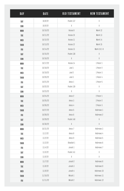| DAY         | DATE     | OLD TESTAMENT | <b>NEW TESTAMENT</b> |
|-------------|----------|---------------|----------------------|
| SAT         | 10/8/22  | Psalm 137     | X                    |
| SUN         | 10/9/22  | $\chi$        | $\chi$               |
| <b>MON</b>  | 10/10/22 | Hosea 9       | Mark 12              |
| TUE         | 10/11/22 | Hosea 10      | Mark 13              |
| WED         | 10/12/22 | Hosea 11      | Mark 14              |
| THUR        | 10/13/22 | Hosea 12      | Mark 15              |
| FRI         | 10/14/22 | Hosea 13      | Mark 16:1-8          |
| SAT         | 10/15/22 | Psalm 138     | $\chi$               |
| SUN         | 10/16/22 | X             | X                    |
| <b>MON</b>  | 10/17/22 | Hosea 14      | 1 Peter 1            |
| TUE         | 10/18/22 | $J$ oel 1     | 1 Peter 2            |
| WED         | 10/19/22 | Joel 2        | 1 Peter 3            |
| THUR        | 10/20/22 | Joel 3        | 1 Peter 4            |
| FRI         | 10/21/22 | Amos 1        | 1 Peter 5            |
| SAT         | 10/22/22 | Psalm 139     | $\chi$               |
| SUN         | 10/23/22 | $\chi$        | $\chi$               |
| <b>MON</b>  | 10/24/22 | Amos 2        | 2 Peter 1            |
| TUE         | 10/25/22 | Amos 3        | 2 Peter 2            |
| WED         | 10/26/22 | Amos 4        | 2 Peter 3            |
| THUR        | 10/27/22 | Amos 5        | Hebrews 1            |
| FRI         | 10/28/22 | Amos 6        | Hebrews 2            |
| SAT         | 10/29/22 | Psalm 140     | $\chi$               |
| SUN         | 10/30/22 | X             | X                    |
| <b>MON</b>  | 10/31/22 | Amos 7        | Hebrews 3            |
| TUE         | 11/1/22  | Amos 8        | Hebrews 4            |
| WED         | 11/2/22  | Amos 9        | Hebrews 5            |
| THUR        | 11/3/22  | Obadiah 1     | Hebrews 6            |
| FRI         | 11/4/22  | Jonah 1       | Hebrews 7            |
| SAT         | 11/5/22  | Psalm 141     | X                    |
| SUN         | 11/6/22  | $\chi$        | $\chi$               |
| <b>MON</b>  | 11/7/22  | Jonah 2       | Hebrews 8            |
| TUE         | 11/8/22  | Jonah 3       | Hebrews 9            |
| WED         | 11/9/22  | Jonah 4       | Hebrews 10           |
| THUR        | 11/10/22 | Micah 1       | Hebrews 11           |
| ${\sf FRI}$ | 11/11/22 | Micah 2       | Hebrews 12           |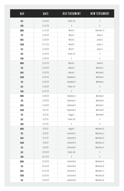| <b>DAY</b> | DATE     | OLD TESTAMENT | <b>NEW TESTAMENT</b> |
|------------|----------|---------------|----------------------|
| SAT        | 11/12/22 | Psalm 142     | X                    |
| SUN        | 11/13/22 | $\chi$        | X                    |
| <b>MON</b> | 11/14/22 | Micah 3       | Hebrews 13           |
| TUE        | 11/15/22 | Micah 4       | James 1              |
| WED        | 11/16/22 | Micah 5       | James 2              |
| THUR       | 11/17/22 | Micah 6       | James 3              |
| FRI        | 11/18/22 | Micah 7       | James 4              |
| SAT        | 11/19/22 | Psalm 143     | $\chi$               |
| SUN        | 11/20/22 | X             | X                    |
| <b>MON</b> | 11/21/22 | Nahum 1       | James 5              |
| TUE        | 11/22/22 | Nahum 2       | Matthew 1            |
| WED        | 11/23/22 | Nahum 3       | Matthew 2            |
| THUR       | 11/24/22 | Habakkuk 1    | Matthew 3            |
| FRI        | 11/25/22 | Habakkuk 2    | Matthew 4            |
| SAT        | 11/26/22 | Psalm 144     | $\chi$               |
| SUN        | 11/27/22 | X             | X                    |
| <b>MON</b> | 11/28/22 | Habakkuk 3    | Matthew 5            |
| TUE        | 11/29/22 | Zephaniah 1   | Matthew 6            |
| WED        | 11/30/22 | Zephaniah 2   | Matthew 7            |
| THUR       | 12/1/22  | Zephaniah 3   | Matthew 8            |
| FRI        | 12/2/22  | Haggai 1      | Matthew 9            |
| SAT        | 12/3/22  | Psalm 145     | $\chi$               |
| SUN        | 12/4/22  | X             | X                    |
| <b>MON</b> | 12/5/22  | Haggai 2      | Matthew 10           |
| TUE        | 12/6/22  | Zechariah 1   | Matthew 11           |
| WED        | 12/7/22  | Zechariah 2   | Matthew 12           |
| THUR       | 12/8/22  | Zechariah 3   | Matthew 13           |
| FRI        | 12/9/22  | Zechariah 4   | Matthew 14           |
| SAT        | 12/10/22 | Psalm 146     | X                    |
| SUN        | 12/11/22 | $\chi$        | $\chi$               |
| <b>MON</b> | 12/12/22 | Zechariah 5   | Matthew 15           |
| TUE        | 12/13/22 | Zechariah 6   | Matthew 16           |
| WED        | 12/14/22 | Zechariah 7   | Matthew 17           |
| THUR       | 12/15/22 | Zechariah 8   | Matthew 18           |
| FRI        | 12/16/22 | Zechariah 9   | Matthew 19           |